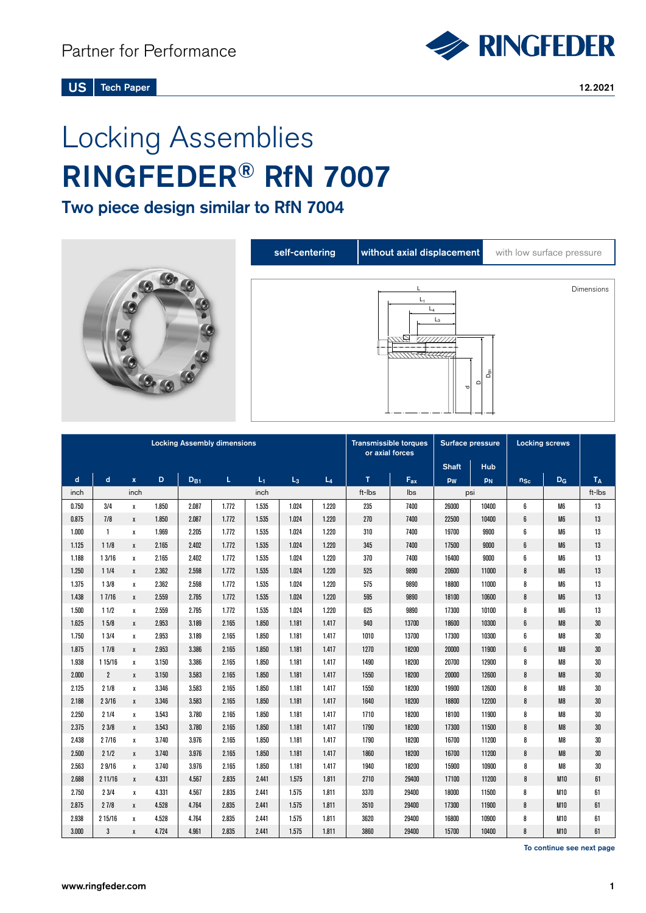

US Tech Paper 12.2021

# Locking Assemblies RINGFEDER® RfN 7007

Two piece design similar to RfN 7004



| <b>Locking Assembly dimensions</b> |                |              |       |          |       |       |       | <b>Transmissible torques</b><br>or axial forces |              | Surface pressure |              | <b>Locking screws</b> |          |                |        |
|------------------------------------|----------------|--------------|-------|----------|-------|-------|-------|-------------------------------------------------|--------------|------------------|--------------|-----------------------|----------|----------------|--------|
|                                    |                |              |       |          |       |       |       |                                                 |              |                  | <b>Shaft</b> | Hub                   |          |                |        |
| $\mathbf d$                        | $\mathbf d$    | $\mathbf{x}$ | D     | $D_{B1}$ | L     | $L_1$ | $L_3$ | $L_4$                                           | $\mathsf{T}$ | $F_{ax}$         | pw           | PN                    | $n_{Sc}$ | $D_G$          | $T_A$  |
| inch                               |                | inch         |       |          |       | inch  |       |                                                 | ft-Ibs       | lbs              |              | psi                   |          |                | ft-lbs |
| 0.750                              | 3/4            | X            | 1.850 | 2.087    | 1.772 | 1.535 | 1.024 | 1.220                                           | 235          | 7400             | 26000        | 10400                 | 6        | M <sub>6</sub> | 13     |
| 0.875                              | 7/8            | $\mathbf{x}$ | 1.850 | 2.087    | 1.772 | 1.535 | 1.024 | 1.220                                           | 270          | 7400             | 22500        | 10400                 | 6        | M <sub>6</sub> | 13     |
| 1.000                              | $\mathbf{1}$   | x            | 1.969 | 2.205    | 1.772 | 1.535 | 1.024 | 1.220                                           | 310          | 7400             | 19700        | 9900                  | 6        | M <sub>6</sub> | 13     |
| 1.125                              | 11/8           | $\mathbf{x}$ | 2.165 | 2.402    | 1.772 | 1.535 | 1.024 | 1.220                                           | 345          | 7400             | 17500        | 9000                  | 6        | M <sub>6</sub> | 13     |
| 1.188                              | 13/16          | x            | 2.165 | 2.402    | 1.772 | 1.535 | 1.024 | 1.220                                           | 370          | 7400             | 16400        | 9000                  | 6        | M <sub>6</sub> | 13     |
| 1.250                              | 11/4           | X            | 2.362 | 2.598    | 1.772 | 1.535 | 1.024 | 1.220                                           | 525          | 9890             | 20600        | 11000                 | 8        | M <sub>6</sub> | 13     |
| 1.375                              | 13/8           | x            | 2.362 | 2.598    | 1.772 | 1.535 | 1.024 | 1.220                                           | 575          | 9890             | 18800        | 11000                 | 8        | M6             | 13     |
| 1.438                              | 17/16          | X            | 2.559 | 2.795    | 1.772 | 1.535 | 1.024 | 1.220                                           | 595          | 9890             | 18100        | 10600                 | 8        | M <sub>6</sub> | 13     |
| 1.500                              | 11/2           | Х            | 2.559 | 2.795    | 1.772 | 1.535 | 1.024 | 1.220                                           | 625          | 9890             | 17300        | 10100                 | 8        | M <sub>6</sub> | 13     |
| 1.625                              | 15/8           | X            | 2.953 | 3.189    | 2.165 | 1.850 | 1.181 | 1.417                                           | 940          | 13700            | 18600        | 10300                 | 6        | M8             | 30     |
| 1.750                              | 13/4           | x            | 2.953 | 3.189    | 2.165 | 1.850 | 1.181 | 1.417                                           | 1010         | 13700            | 17300        | 10300                 | 6        | M <sub>8</sub> | 30     |
| 1.875                              | 17/8           | X            | 2.953 | 3.386    | 2.165 | 1.850 | 1.181 | 1.417                                           | 1270         | 18200            | 20000        | 11900                 | 6        | M <sub>8</sub> | 30     |
| 1.938                              | 1 1 5/1 6      | х            | 3.150 | 3.386    | 2.165 | 1.850 | 1.181 | 1.417                                           | 1490         | 18200            | 20700        | 12900                 | 8        | M <sub>8</sub> | 30     |
| 2.000                              | $\overline{2}$ | X            | 3.150 | 3.583    | 2.165 | 1.850 | 1.181 | 1.417                                           | 1550         | 18200            | 20000        | 12600                 | 8        | M8             | 30     |
| 2.125                              | 21/8           | X            | 3.346 | 3.583    | 2.165 | 1.850 | 1.181 | 1.417                                           | 1550         | 18200            | 19900        | 12600                 | 8        | M8             | 30     |
| 2.188                              | 23/16          | X            | 3.346 | 3.583    | 2.165 | 1.850 | 1.181 | 1.417                                           | 1640         | 18200            | 18800        | 12200                 | 8        | M8             | 30     |
| 2.250                              | 21/4           | x            | 3.543 | 3.780    | 2.165 | 1.850 | 1.181 | 1.417                                           | 1710         | 18200            | 18100        | 11900                 | 8        | M8             | 30     |
| 2.375                              | 23/8           | X            | 3.543 | 3.780    | 2.165 | 1.850 | 1.181 | 1.417                                           | 1790         | 18200            | 17300        | 11500                 | 8        | M <sub>8</sub> | 30     |
| 2.438                              | 27/16          | x            | 3.740 | 3.976    | 2.165 | 1.850 | 1.181 | 1.417                                           | 1790         | 18200            | 16700        | 11200                 | 8        | M8             | 30     |
| 2.500                              | 21/2           | X            | 3.740 | 3.976    | 2.165 | 1.850 | 1.181 | 1.417                                           | 1860         | 18200            | 16700        | 11200                 | 8        | M <sub>8</sub> | 30     |
| 2.563                              | 29/16          | х            | 3.740 | 3.976    | 2.165 | 1.850 | 1.181 | 1.417                                           | 1940         | 18200            | 15900        | 10900                 | 8        | M8             | 30     |
| 2.688                              | 211/16         | X            | 4.331 | 4.567    | 2.835 | 2.441 | 1.575 | 1.811                                           | 2710         | 29400            | 17100        | 11200                 | 8        | <b>M10</b>     | 61     |
| 2.750                              | 23/4           | χ            | 4.331 | 4.567    | 2.835 | 2.441 | 1.575 | 1.811                                           | 3370         | 29400            | 18000        | 11500                 | 8        | M10            | 61     |
| 2.875                              | 27/8           | X            | 4.528 | 4.764    | 2.835 | 2.441 | 1.575 | 1.811                                           | 3510         | 29400            | 17300        | 11900                 | 8        | M10            | 61     |
| 2.938                              | 215/16         | х            | 4.528 | 4.764    | 2.835 | 2.441 | 1.575 | 1.811                                           | 3620         | 29400            | 16800        | 10900                 | 8        | M10            | 61     |
| 3.000                              | 3              | X            | 4.724 | 4.961    | 2.835 | 2.441 | 1.575 | 1.811                                           | 3860         | 29400            | 15700        | 10400                 | 8        | <b>M10</b>     | 61     |

To continue see next page